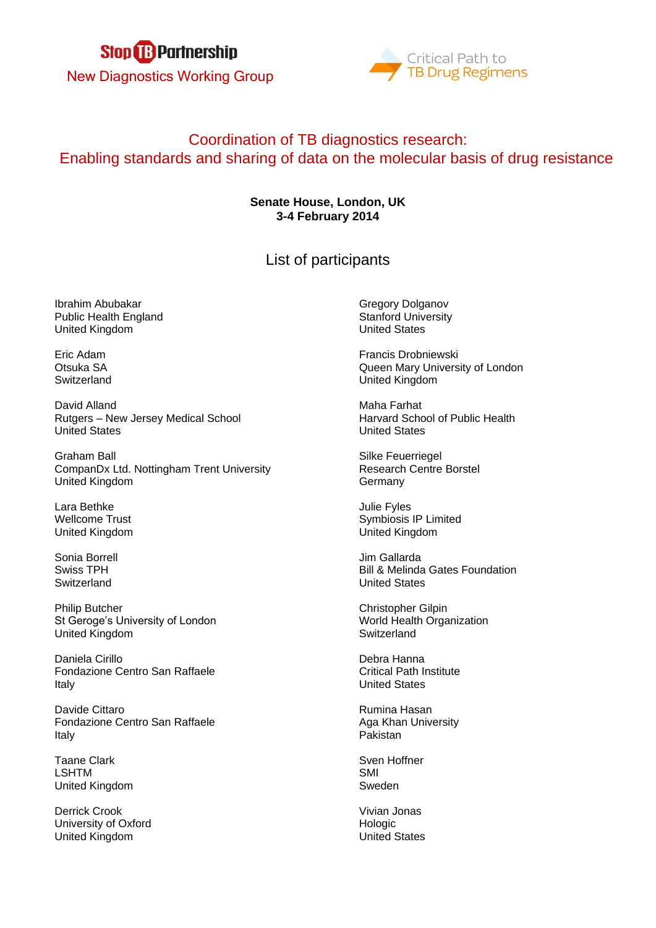



## Coordination of TB diagnostics research: Enabling standards and sharing of data on the molecular basis of drug resistance

## **Senate House, London, UK 3-4 February 2014**

List of participants

Ibrahim Abubakar Public Health England United Kingdom

Eric Adam Otsuka SA **Switzerland** 

David Alland Rutgers – New Jersey Medical School United States

Graham Ball CompanDx Ltd. Nottingham Trent University United Kingdom

Lara Bethke Wellcome Trust United Kingdom

Sonia Borrell Swiss TPH **Switzerland** 

Philip Butcher St Geroge's University of London United Kingdom

Daniela Cirillo Fondazione Centro San Raffaele Italy

Davide Cittaro Fondazione Centro San Raffaele Italy

Taane Clark LSHTM United Kingdom

Derrick Crook University of Oxford United Kingdom

Gregory Dolganov Stanford University United States

Francis Drobniewski Queen Mary University of London United Kingdom

Maha Farhat Harvard School of Public Health United States

Silke Feuerriegel Research Centre Borstel **Germany** 

Julie Fyles Symbiosis IP Limited United Kingdom

Jim Gallarda Bill & Melinda Gates Foundation United States

Christopher Gilpin World Health Organization **Switzerland** 

Debra Hanna Critical Path Institute United States

Rumina Hasan Aga Khan University Pakistan

Sven Hoffner SMI Sweden

Vivian Jonas Hologic United States